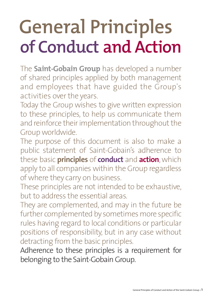## **General Principles of Conduct;and Action**

The **Saint-Gobain Group** has developed a number of shared principles applied by both management and employees that have guided the Group's activities over the years.

Today the Group wishes to give written expression to these principles, to help us communicate them and reinforce their implementation throughout the Group worldwide.

The purpose of this document is also to make a public statement of Saint-Gobain's adherence to these basic **principles** of **conduct** and **action**, which apply to all companies within the Group regardless of where they carry on business.

These principles are not intended to be exhaustive, but to address the essential areas.

They are complemented, and may in the future be further complemented by sometimes more specific rules having regard to local conditions or particular positions of responsibility, but in any case without detracting from the basic principles.

Adherence to these principles is a requirement for belonging to the Saint-Gobain Group.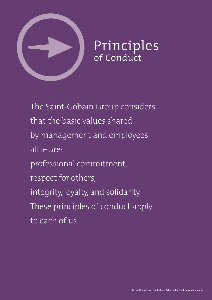

# Principles<br>of Conduct

The Saint-Gobain Group considers that the basic values shared by management and employees alike are: professional commitment, respect for others, integrity, loyalty, and solidarity. These principles of conduct apply to each of us.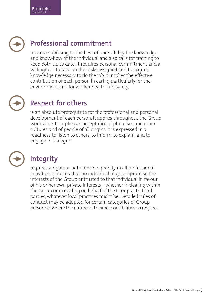## **Professional commitment**

means mobilising to the best of one's ability the knowledge and know-how of the individual and also calls for training to keep both up to date. It requires personal commitment and a willingness to take on the tasks assigned and to acquire knowledge necessary to do the job. It implies the effective contribution of each person in caring particularly for the environment and for worker health and safety.

## $\bigodot$

### **Respect for others**

is an absolute prerequisite for the professional and personal development of each person. It applies throughout the Group worldwide. It implies an acceptance of pluralism and other cultures and of people of all origins. It is expressed in a readiness to listen to others, to inform, to explain, and to engage in dialogue.



### **Integrity**

requires a rigorous adherence to probity in all professional activities. It means that no individual may compromise the interests of the Group entrusted to that individual in favour of his or her own private interests – whether in dealing within the Group or in dealing on behalf of the Group with third parties, whatever local practices might be. Detailed rules of conduct may be adopted for certain categories of Group personnel where the nature of their responsibilities so requires.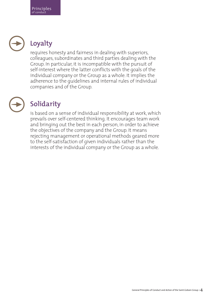

## **Loyalty**

requires honesty and fairness in dealing with superiors, colleagues, subordinates and third parties dealing with the Group. In particular, it is incompatible with the pursuit of self-interest where the latter conflicts with the goals of the individual company or the Group as a whole. It implies the adherence to the guidelines and internal rules of individual companies and of the Group.



## **Solidarity**

is based on a sense of individual responsibility at work, which prevails over self-centered thinking. It encourages team work and bringing out the best in each person, in order to achieve the objectives of the company and the Group. It means rejecting management or operational methods geared more to the self-satisfaction of given individuals rather than the interests of the individual company or the Group as a whole.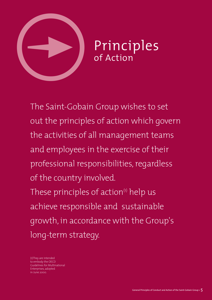

The Saint-Gobain Group wishes to set out the principles of action which govern the activities of all management teams and employees in the exercise of their professional responsibilities, regardless of the country involved. These principles of action<sup>(1)</sup> help us achieve responsible and sustainable growth, in accordance with the Group's long-term strategy.

(1)They are intended to embody the OECD Guidelines for Multinational Enterprises, adopted in June 2000.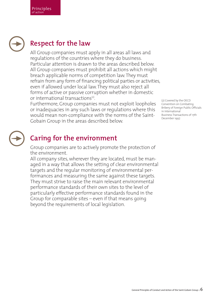## **Respect for the law**

All Group companies must apply in all areas all laws and regulations of the countries where they do business. Particular attention is drawn to the areas described below. All Group companies must prohibit all actions which might breach applicable norms of competition law. They must refrain from any form of financing political parties or activities, even if allowed under local law. They must also reject all forms of active or passive corruption whether in domestic or international transactions $(2)$ .

Furthermore, Group companies must not exploit loopholes or inadequacies in any such laws or regulations where this would mean non-compliance with the norms of the Saint-Gobain Group in the areas described below.

(2) Covered by the OECD Convention on Combating Bribery of Foreign Public Officials in International Business Transactions of 17th December 1997.



### **Caring for the environment**

Group companies are to actively promote the protection of the environment.

All company sites, wherever they are located, must be managed in a way that allows the setting of clear environmental targets and the regular monitoring of environmental performances and measuring the same against these targets. They must strive to raise the main relevant environmental performance standards of their own sites to the level of particularly effective performance standards found in the Group for comparable sites – even if that means going beyond the requirements of local legislation.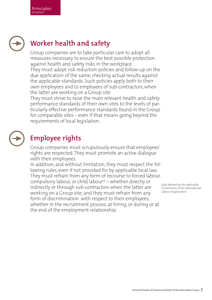## **Worker health and safety**

Group companies are to take particular care to adopt all measures necessary to ensure the best possible protection against health and safety risks in the workplace. They must adopt risk reduction policies and follow-up on the due application of the same, checking actual results against the applicable standards. Such policies apply both to their own employees and to employees of sub-contractors, when the latter are working on a Group site.

They must strive to raise the main relevant health and safety performance standards of their own sites to the levels of particularly effective performance standards found in the Group for comparable sites – even if that means going beyond the requirements of local legislation.

## $\bigodot$

## **Employee rights**

Group companies must scrupulously ensure that employees' rights are respected. They must promote an active dialogue with their employees.

In addition, and without limitation, they must respect the following rules, even if not provided for by applicable local law. They must refrain from any form of recourse to forced labour, compulsory labour, or child labour $(3)$  – whether directly or indirectly or through sub-contractors when the latter are working on a Group site; and they must refrain from any form of discrimination with respect to their employees, whether in the recruitment process, at hiring, or during or at the end of the employment relationship.

(3)As defined by the applicable Conventions of the International Labour Organisation.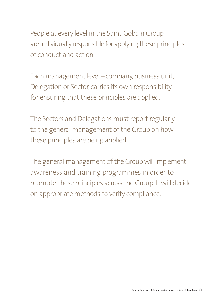People at every level in the Saint-Gobain Group are individually responsible for applying these principles of conduct and action.

Each management level – company, business unit, Delegation or Sector, carries its own responsibility for ensuring that these principles are applied.

The Sectors and Delegations must report regularly to the general management of the Group on how these principles are being applied.

The general management of the Group will implement awareness and training programmes in order to promote these principles across the Group. It will decide on appropriate methods to verify compliance.